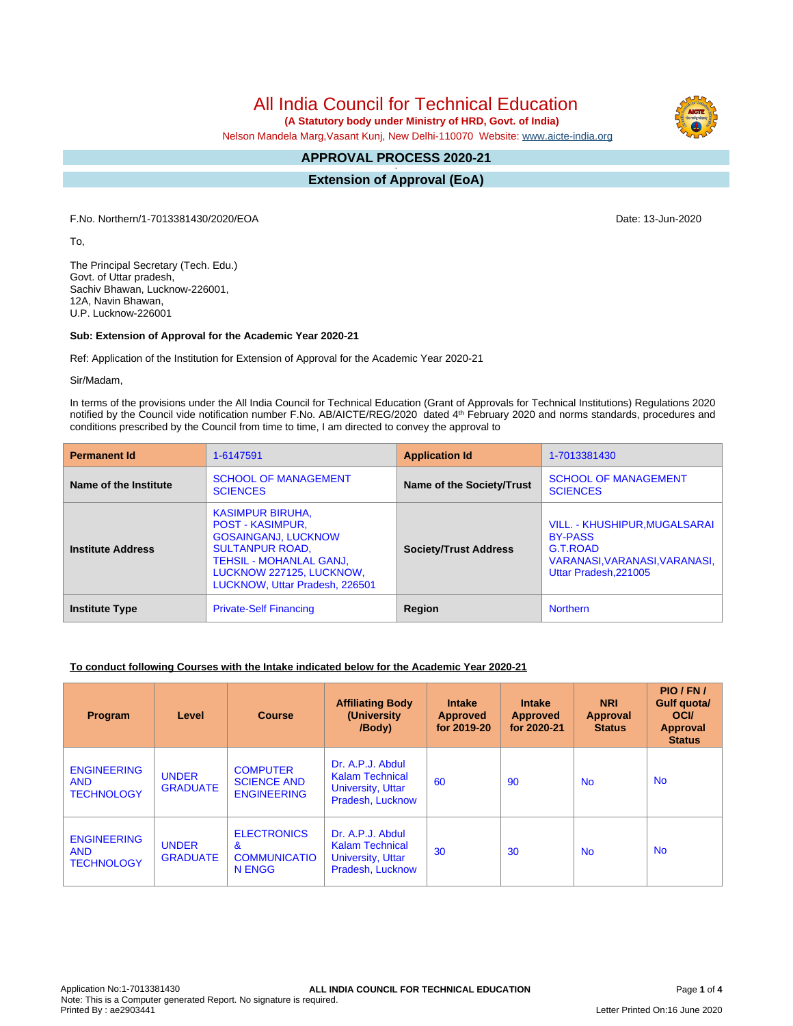# All India Council for Technical Education

 **(A Statutory body under Ministry of HRD, Govt. of India)**

Nelson Mandela Marg,Vasant Kunj, New Delhi-110070 Website: www.aicte-india.org

## **APPROVAL PROCESS 2020-21**

**- Extension of Approval (EoA)**

F.No. Northern/1-7013381430/2020/EOA Date: 13-Jun-2020

To,

The Principal Secretary (Tech. Edu.) Govt. of Uttar pradesh, Sachiv Bhawan, Lucknow-226001, 12A, Navin Bhawan, U.P. Lucknow-226001

#### **Sub: Extension of Approval for the Academic Year 2020-21**

Ref: Application of the Institution for Extension of Approval for the Academic Year 2020-21

Sir/Madam,

In terms of the provisions under the All India Council for Technical Education (Grant of Approvals for Technical Institutions) Regulations 2020 notified by the Council vide notification number F.No. AB/AICTE/REG/2020 dated 4<sup>th</sup> February 2020 and norms standards, procedures and conditions prescribed by the Council from time to time, I am directed to convey the approval to

| <b>Permanent Id</b>      | 1-6147591                                                                                                                                                                                                  | <b>Application Id</b>            | 1-7013381430                                                                                                          |
|--------------------------|------------------------------------------------------------------------------------------------------------------------------------------------------------------------------------------------------------|----------------------------------|-----------------------------------------------------------------------------------------------------------------------|
| Name of the Institute    | <b>SCHOOL OF MANAGEMENT</b><br><b>SCIENCES</b>                                                                                                                                                             | <b>Name of the Society/Trust</b> | <b>SCHOOL OF MANAGEMENT</b><br><b>SCIENCES</b>                                                                        |
| <b>Institute Address</b> | <b>KASIMPUR BIRUHA.</b><br><b>POST - KASIMPUR,</b><br><b>GOSAINGANJ, LUCKNOW</b><br><b>SULTANPUR ROAD.</b><br><b>TEHSIL - MOHANLAL GANJ,</b><br>LUCKNOW 227125, LUCKNOW,<br>LUCKNOW, Uttar Pradesh, 226501 | <b>Society/Trust Address</b>     | VILL. - KHUSHIPUR, MUGALSARAI<br><b>BY-PASS</b><br>G.T.ROAD<br>VARANASI, VARANASI, VARANASI,<br>Uttar Pradesh, 221005 |
| <b>Institute Type</b>    | <b>Private-Self Financing</b>                                                                                                                                                                              | Region                           | <b>Northern</b>                                                                                                       |

#### **To conduct following Courses with the Intake indicated below for the Academic Year 2020-21**

| Program                                               | Level                           | <b>Course</b>                                               | <b>Affiliating Body</b><br>(University)<br>/Body)                                          | <b>Intake</b><br><b>Approved</b><br>for 2019-20 | <b>Intake</b><br><b>Approved</b><br>for 2020-21 | <b>NRI</b><br><b>Approval</b><br><b>Status</b> | PIO/FN/<br><b>Gulf quotal</b><br><b>OCI</b><br>Approval<br><b>Status</b> |
|-------------------------------------------------------|---------------------------------|-------------------------------------------------------------|--------------------------------------------------------------------------------------------|-------------------------------------------------|-------------------------------------------------|------------------------------------------------|--------------------------------------------------------------------------|
| <b>ENGINEERING</b><br><b>AND</b><br><b>TECHNOLOGY</b> | <b>UNDER</b><br><b>GRADUATE</b> | <b>COMPUTER</b><br><b>SCIENCE AND</b><br><b>ENGINEERING</b> | Dr. A.P.J. Abdul<br><b>Kalam Technical</b><br><b>University, Uttar</b><br>Pradesh, Lucknow | 60                                              | 90                                              | <b>No</b>                                      | <b>No</b>                                                                |
| <b>ENGINEERING</b><br><b>AND</b><br><b>TECHNOLOGY</b> | <b>UNDER</b><br><b>GRADUATE</b> | <b>ELECTRONICS</b><br>&<br><b>COMMUNICATIO</b><br>N ENGG    | Dr. A.P.J. Abdul<br><b>Kalam Technical</b><br>University, Uttar<br>Pradesh, Lucknow        | 30                                              | 30                                              | <b>No</b>                                      | <b>No</b>                                                                |

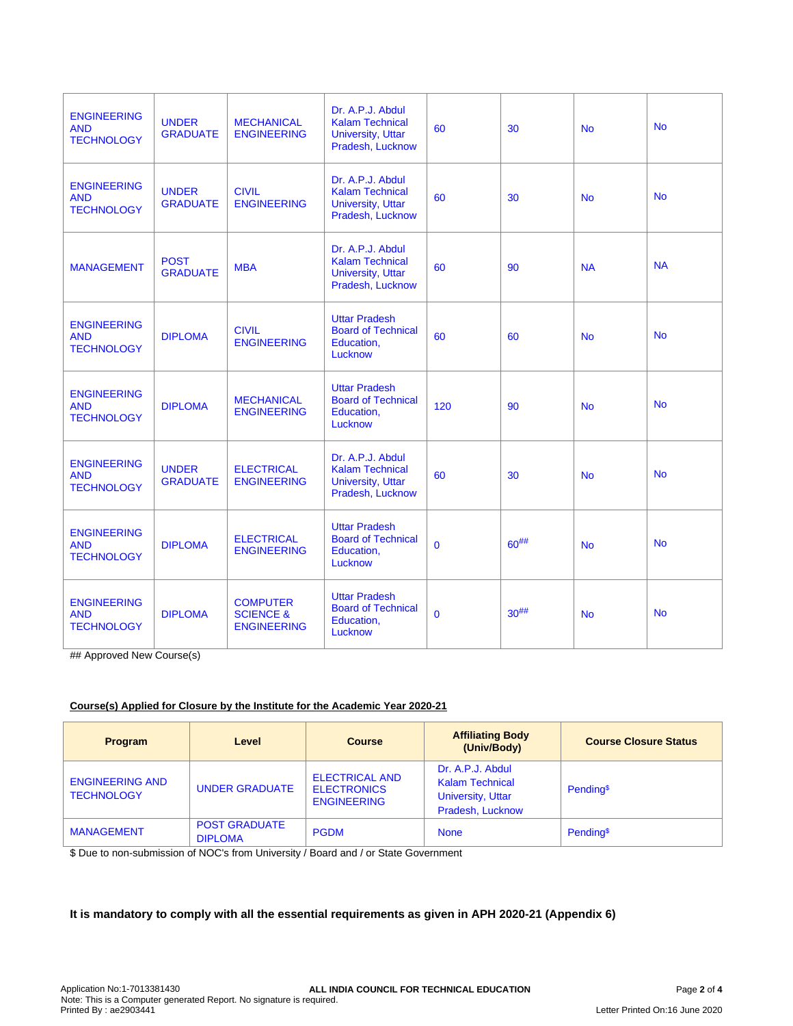| <b>ENGINEERING</b><br><b>AND</b><br><b>TECHNOLOGY</b> | <b>UNDER</b><br><b>GRADUATE</b> | <b>MECHANICAL</b><br><b>ENGINEERING</b>                       | Dr. A.P.J. Abdul<br><b>Kalam Technical</b><br>University, Uttar<br>Pradesh, Lucknow        | 60           | 30         | <b>No</b> | <b>No</b> |
|-------------------------------------------------------|---------------------------------|---------------------------------------------------------------|--------------------------------------------------------------------------------------------|--------------|------------|-----------|-----------|
| <b>ENGINEERING</b><br><b>AND</b><br><b>TECHNOLOGY</b> | <b>UNDER</b><br><b>GRADUATE</b> | <b>CIVIL</b><br><b>ENGINEERING</b>                            | Dr. A.P.J. Abdul<br><b>Kalam Technical</b><br><b>University, Uttar</b><br>Pradesh, Lucknow | 60           | 30         | <b>No</b> | <b>No</b> |
| <b>MANAGEMENT</b>                                     | <b>POST</b><br><b>GRADUATE</b>  | <b>MBA</b>                                                    | Dr. A.P.J. Abdul<br><b>Kalam Technical</b><br><b>University, Uttar</b><br>Pradesh, Lucknow | 60           | 90         | <b>NA</b> | <b>NA</b> |
| <b>ENGINEERING</b><br><b>AND</b><br><b>TECHNOLOGY</b> | <b>DIPLOMA</b>                  | <b>CIVIL</b><br><b>ENGINEERING</b>                            | <b>Uttar Pradesh</b><br><b>Board of Technical</b><br>Education,<br>Lucknow                 | 60           | 60         | <b>No</b> | <b>No</b> |
| <b>ENGINEERING</b><br><b>AND</b><br><b>TECHNOLOGY</b> | <b>DIPLOMA</b>                  | <b>MECHANICAL</b><br><b>ENGINEERING</b>                       | <b>Uttar Pradesh</b><br><b>Board of Technical</b><br>Education,<br>Lucknow                 | 120          | 90         | <b>No</b> | <b>No</b> |
| <b>ENGINEERING</b><br><b>AND</b><br><b>TECHNOLOGY</b> | <b>UNDER</b><br><b>GRADUATE</b> | <b>ELECTRICAL</b><br><b>ENGINEERING</b>                       | Dr. A.P.J. Abdul<br><b>Kalam Technical</b><br><b>University, Uttar</b><br>Pradesh, Lucknow | 60           | 30         | <b>No</b> | <b>No</b> |
| <b>ENGINEERING</b><br><b>AND</b><br><b>TECHNOLOGY</b> | <b>DIPLOMA</b>                  | <b>ELECTRICAL</b><br><b>ENGINEERING</b>                       | <b>Uttar Pradesh</b><br><b>Board of Technical</b><br>Education,<br>Lucknow                 | $\mathbf{0}$ | $60^{#}\%$ | <b>No</b> | <b>No</b> |
| <b>ENGINEERING</b><br><b>AND</b><br><b>TECHNOLOGY</b> | <b>DIPLOMA</b>                  | <b>COMPUTER</b><br><b>SCIENCE &amp;</b><br><b>ENGINEERING</b> | <b>Uttar Pradesh</b><br><b>Board of Technical</b><br>Education,<br>Lucknow                 | $\mathbf{0}$ | $30^{#}\%$ | <b>No</b> | <b>No</b> |

## Approved New Course(s)

#### **Course(s) Applied for Closure by the Institute for the Academic Year 2020-21**

| Program                                     | Level                                  | <b>Course</b>                                                     | <b>Affiliating Body</b><br>(Univ/Body)                                                     | <b>Course Closure Status</b> |
|---------------------------------------------|----------------------------------------|-------------------------------------------------------------------|--------------------------------------------------------------------------------------------|------------------------------|
| <b>ENGINEERING AND</b><br><b>TECHNOLOGY</b> | <b>UNDER GRADUATE</b>                  | <b>ELECTRICAL AND</b><br><b>ELECTRONICS</b><br><b>ENGINEERING</b> | Dr. A.P.J. Abdul<br><b>Kalam Technical</b><br><b>University, Uttar</b><br>Pradesh, Lucknow | Pending <sup>\$</sup>        |
| <b>MANAGEMENT</b>                           | <b>POST GRADUATE</b><br><b>DIPLOMA</b> | <b>PGDM</b>                                                       | <b>None</b>                                                                                | Pending <sup>\$</sup>        |

\$ Due to non-submission of NOC's from University / Board and / or State Government

### **It is mandatory to comply with all the essential requirements as given in APH 2020-21 (Appendix 6)**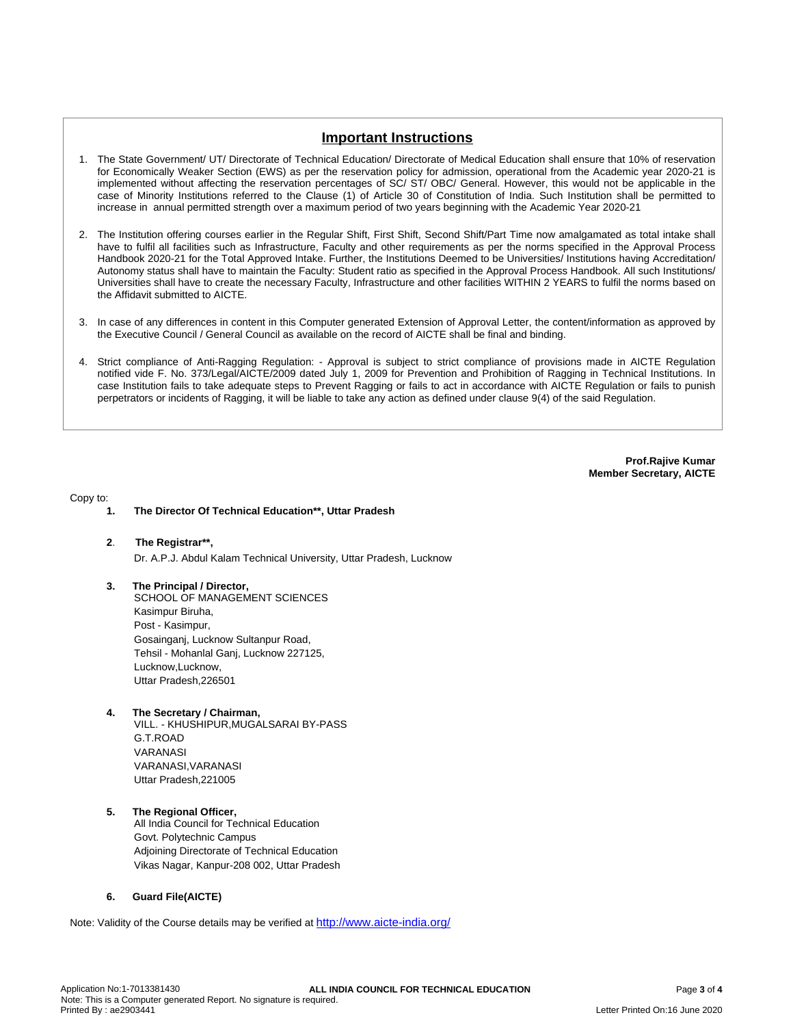## **Important Instructions**

- 1. The State Government/ UT/ Directorate of Technical Education/ Directorate of Medical Education shall ensure that 10% of reservation for Economically Weaker Section (EWS) as per the reservation policy for admission, operational from the Academic year 2020-21 is implemented without affecting the reservation percentages of SC/ ST/ OBC/ General. However, this would not be applicable in the case of Minority Institutions referred to the Clause (1) of Article 30 of Constitution of India. Such Institution shall be permitted to increase in annual permitted strength over a maximum period of two years beginning with the Academic Year 2020-21
- 2. The Institution offering courses earlier in the Regular Shift, First Shift, Second Shift/Part Time now amalgamated as total intake shall have to fulfil all facilities such as Infrastructure, Faculty and other requirements as per the norms specified in the Approval Process Handbook 2020-21 for the Total Approved Intake. Further, the Institutions Deemed to be Universities/ Institutions having Accreditation/ Autonomy status shall have to maintain the Faculty: Student ratio as specified in the Approval Process Handbook. All such Institutions/ Universities shall have to create the necessary Faculty, Infrastructure and other facilities WITHIN 2 YEARS to fulfil the norms based on the Affidavit submitted to AICTE.
- 3. In case of any differences in content in this Computer generated Extension of Approval Letter, the content/information as approved by the Executive Council / General Council as available on the record of AICTE shall be final and binding.
- 4. Strict compliance of Anti-Ragging Regulation: Approval is subject to strict compliance of provisions made in AICTE Regulation notified vide F. No. 373/Legal/AICTE/2009 dated July 1, 2009 for Prevention and Prohibition of Ragging in Technical Institutions. In case Institution fails to take adequate steps to Prevent Ragging or fails to act in accordance with AICTE Regulation or fails to punish perpetrators or incidents of Ragging, it will be liable to take any action as defined under clause 9(4) of the said Regulation.

**Prof.Rajive Kumar Member Secretary, AICTE**

Copy to:

- **1. The Director Of Technical Education\*\*, Uttar Pradesh**
- **2**. **The Registrar\*\*,** Dr. A.P.J. Abdul Kalam Technical University, Uttar Pradesh, Lucknow
- **3. The Principal / Director,** SCHOOL OF MANAGEMENT SCIENCES Kasimpur Biruha, Post - Kasimpur, Gosainganj, Lucknow Sultanpur Road, Tehsil - Mohanlal Ganj, Lucknow 227125, Lucknow,Lucknow, Uttar Pradesh,226501
- **4. The Secretary / Chairman,**
	- VILL. KHUSHIPUR,MUGALSARAI BY-PASS G.T.ROAD VARANASI VARANASI,VARANASI Uttar Pradesh,221005
- **5. The Regional Officer,** All India Council for Technical Education Govt. Polytechnic Campus Adjoining Directorate of Technical Education Vikas Nagar, Kanpur-208 002, Uttar Pradesh

#### **6. Guard File(AICTE)**

Note: Validity of the Course details may be verified at http://www.aicte-india.org/